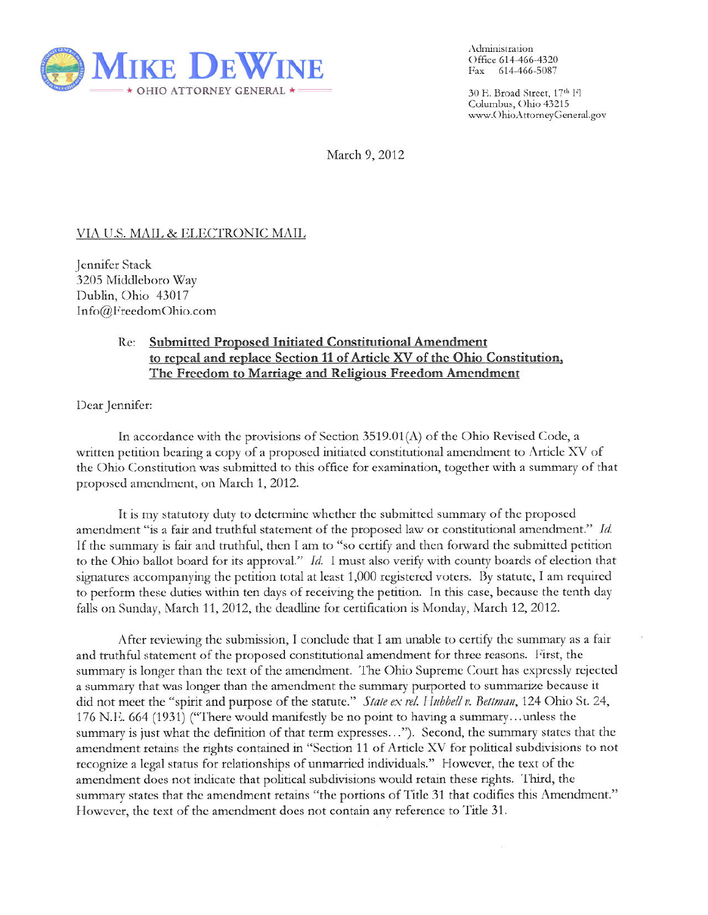

Administration Office 614-466-4320 Fax 614-466-5087

30 E. Broad Street, 17th Fl Columbus, Ohio 43215 www.OhioAttorneyGeneral.gov

March 9, 2012

## <u>VIA U.S. MAIL & ELECTRONIC MAIL</u>

Jennifer Stack 3205 Middleboro Way Dublin, Ohio 43017 Info@FreedomOhio.com

## $Re:$ **Submitted Proposed Initiated Constitutional Amendment** to repeal and replace Section 11 of Article XV of the Ohio Constitution, The Freedom to Marriage and Religious Freedom Amendment

Dear Jennifer:

In accordance with the provisions of Section  $3519.01(A)$  of the Ohio Revised Code, a written petition bearing a copy of a proposed initiated constitutional amendment to Article XV of the Ohio Constitution was submitted to this office for examination, together with a summary of that proposed amendment, on March 1, 2012.

It is my statutory duty to determine whether the submitted summary of the proposed amendment "is a fair and truthful statement of the proposed law or constitutional amendment." Id. If the summary is fair and truthful, then I am to "so certify and then forward the submitted petition to the Ohio ballot board for its approval." Id. I must also verify with county boards of election that signatures accompanying the petition total at least 1,000 registered voters. By statute, I am required to perform these duties within ten days of receiving the petition. In this case, because the tenth day falls on Sunday, March 11, 2012, the deadline for certification is Monday, March 12, 2012.

After reviewing the submission, I conclude that I am unable to certify the summary as a fair and truthful statement of the proposed constitutional amendment for three reasons. First, the summary is longer than the text of the amendment. The Ohio Supreme Court has expressly rejected a summary that was longer than the amendment the summary purported to summarize because it did not meet the "spirit and purpose of the statute." State ex rel. Hubbell v. Bettman, 124 Ohio St. 24, 176 N.E. 664 (1931) ("There would manifestly be no point to having a summary...unless the summary is just what the definition of that term expresses..."). Second, the summary states that the amendment retains the rights contained in "Section 11 of Article XV for political subdivisions to not recognize a legal status for relationships of unmarried individuals." However, the text of the amendment does not indicate that political subdivisions would retain these rights. Third, the summary states that the amendment retains "the portions of Title 31 that codifies this Amendment." However, the text of the amendment does not contain any reference to Title 31.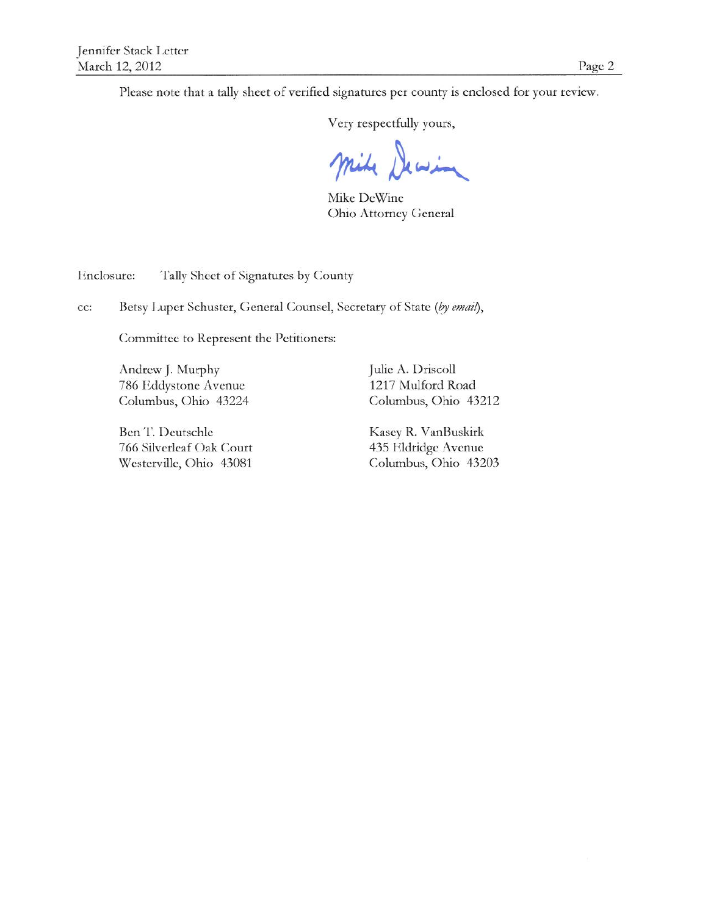Please note that a tally sheet of verified signatures per county is enclosed for your review.

Very respectfully yours,

Mike DeWine **Ohio Attorney General** 

Enclosure: Tally Sheet of Signatures by County

Betsy Luper Schuster, General Counsel, Secretary of State (by email), cc:

Committee to Represent the Petitioners:

Andrew J. Murphy 786 Eddystone Avenue Columbus, Ohio 43224

Ben T. Deutschle 766 Silverleaf Oak Court Westerville, Ohio 43081

Julie A. Driscoll 1217 Mulford Road Columbus, Ohio 43212

Kasey R. VanBuskirk 435 Eldridge Avenue Columbus, Ohio 43203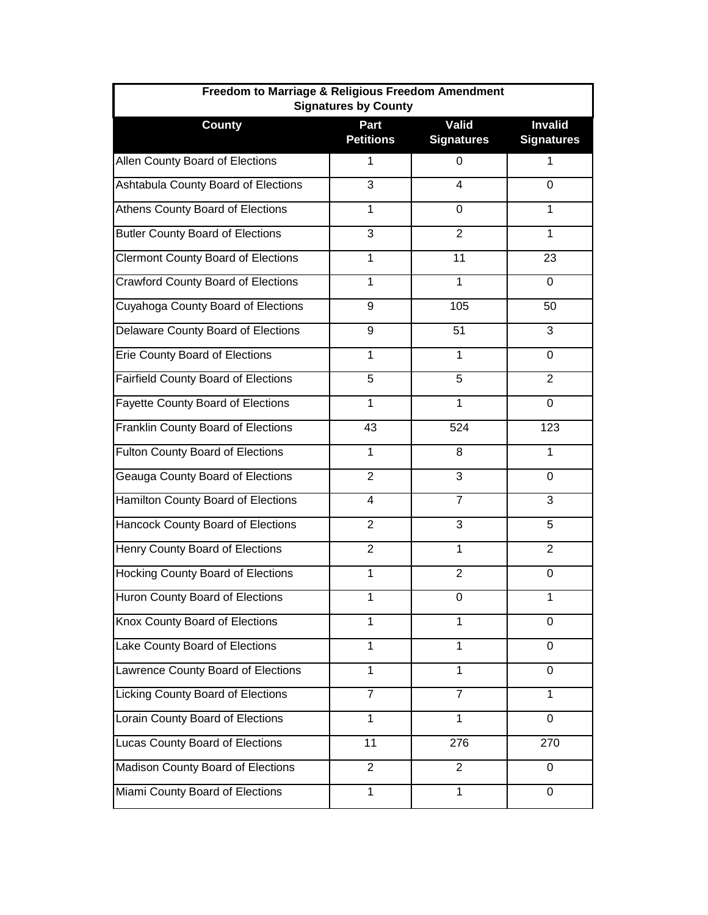| Freedom to Marriage & Religious Freedom Amendment<br><b>Signatures by County</b> |                          |                                   |                                     |  |
|----------------------------------------------------------------------------------|--------------------------|-----------------------------------|-------------------------------------|--|
| <b>County</b>                                                                    | Part<br><b>Petitions</b> | <b>Valid</b><br><b>Signatures</b> | <b>Invalid</b><br><b>Signatures</b> |  |
| Allen County Board of Elections                                                  | 1                        | 0                                 | 1                                   |  |
| Ashtabula County Board of Elections                                              | 3                        | 4                                 | $\Omega$                            |  |
| Athens County Board of Elections                                                 | 1                        | 0                                 | 1                                   |  |
| <b>Butler County Board of Elections</b>                                          | 3                        | $\overline{2}$                    | $\mathbf{1}$                        |  |
| <b>Clermont County Board of Elections</b>                                        | 1                        | 11                                | 23                                  |  |
| <b>Crawford County Board of Elections</b>                                        | 1                        | $\mathbf{1}$                      | $\Omega$                            |  |
| Cuyahoga County Board of Elections                                               | 9                        | 105                               | 50                                  |  |
| Delaware County Board of Elections                                               | 9                        | 51                                | 3                                   |  |
| <b>Erie County Board of Elections</b>                                            | 1                        | 1                                 | 0                                   |  |
| Fairfield County Board of Elections                                              | 5                        | 5                                 | $\overline{2}$                      |  |
| <b>Fayette County Board of Elections</b>                                         | 1                        | $\mathbf 1$                       | 0                                   |  |
| Franklin County Board of Elections                                               | 43                       | 524                               | 123                                 |  |
| <b>Fulton County Board of Elections</b>                                          | 1                        | 8                                 | 1                                   |  |
| Geauga County Board of Elections                                                 | $\overline{2}$           | 3                                 | $\Omega$                            |  |
| Hamilton County Board of Elections                                               | 4                        | 7                                 | 3                                   |  |
| Hancock County Board of Elections                                                | $\overline{2}$           | 3                                 | 5                                   |  |
| Henry County Board of Elections                                                  | $\overline{2}$           | 1                                 | $\overline{2}$                      |  |
| Hocking County Board of Elections                                                | 1                        | $\overline{2}$                    | 0                                   |  |
| Huron County Board of Elections                                                  | 1                        | 0                                 | 1                                   |  |
| Knox County Board of Elections                                                   | 1                        | $\mathbf{1}$                      | 0                                   |  |
| Lake County Board of Elections                                                   | 1                        | 1                                 | $\Omega$                            |  |
| Lawrence County Board of Elections                                               | 1                        | $\mathbf{1}$                      | 0                                   |  |
| Licking County Board of Elections                                                | 7                        | 7                                 | 1                                   |  |
| Lorain County Board of Elections                                                 | $\mathbf{1}$             | $\mathbf{1}$                      | 0                                   |  |
| <b>Lucas County Board of Elections</b>                                           | 11                       | 276                               | 270                                 |  |
| Madison County Board of Elections                                                | $\overline{2}$           | $\overline{2}$                    | $\Omega$                            |  |
| Miami County Board of Elections                                                  | 1                        | 1                                 | 0                                   |  |